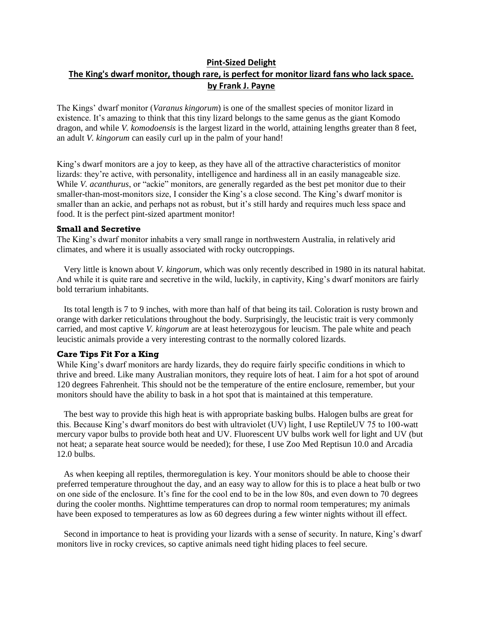# **Pint-Sized Delight The King's dwarf monitor, though rare, is perfect for monitor lizard fans who lack space. by Frank J. Payne**

The Kings' dwarf monitor (*Varanus kingorum*) is one of the smallest species of monitor lizard in existence. It's amazing to think that this tiny lizard belongs to the same genus as the giant Komodo dragon, and while *V. komodoensis* is the largest lizard in the world, attaining lengths greater than 8 feet, an adult *V. kingorum* can easily curl up in the palm of your hand!

King's dwarf monitors are a joy to keep, as they have all of the attractive characteristics of monitor lizards: they're active, with personality, intelligence and hardiness all in an easily manageable size. While *V. acanthurus*, or "ackie" monitors, are generally regarded as the best pet monitor due to their smaller-than-most-monitors size, I consider the King's a close second. The King's dwarf monitor is smaller than an ackie, and perhaps not as robust, but it's still hardy and requires much less space and food. It is the perfect pint-sized apartment monitor!

## **Small and Secretive**

The King's dwarf monitor inhabits a very small range in northwestern Australia, in relatively arid climates, and where it is usually associated with rocky outcroppings.

Very little is known about *V. kingorum*, which was only recently described in 1980 in its natural habitat. And while it is quite rare and secretive in the wild, luckily, in captivity, King's dwarf monitors are fairly bold terrarium inhabitants.

Its total length is 7 to 9 inches, with more than half of that being its tail. Coloration is rusty brown and orange with darker reticulations throughout the body. Surprisingly, the leucistic trait is very commonly carried, and most captive *V. kingorum* are at least heterozygous for leucism. The pale white and peach leucistic animals provide a very interesting contrast to the normally colored lizards.

### **Care Tips Fit For a King**

While King's dwarf monitors are hardy lizards, they do require fairly specific conditions in which to thrive and breed. Like many Australian monitors, they require lots of heat. I aim for a hot spot of around 120 degrees Fahrenheit. This should not be the temperature of the entire enclosure, remember, but your monitors should have the ability to bask in a hot spot that is maintained at this temperature.

The best way to provide this high heat is with appropriate basking bulbs. Halogen bulbs are great for this. Because King's dwarf monitors do best with ultraviolet (UV) light, I use ReptileUV 75 to 100-watt mercury vapor bulbs to provide both heat and UV. Fluorescent UV bulbs work well for light and UV (but not heat; a separate heat source would be needed); for these, I use Zoo Med Reptisun 10.0 and Arcadia 12.0 bulbs.

As when keeping all reptiles, thermoregulation is key. Your monitors should be able to choose their preferred temperature throughout the day, and an easy way to allow for this is to place a heat bulb or two on one side of the enclosure. It's fine for the cool end to be in the low 80s, and even down to 70 degrees during the cooler months. Nighttime temperatures can drop to normal room temperatures; my animals have been exposed to temperatures as low as 60 degrees during a few winter nights without ill effect.

Second in importance to heat is providing your lizards with a sense of security. In nature, King's dwarf monitors live in rocky crevices, so captive animals need tight hiding places to feel secure.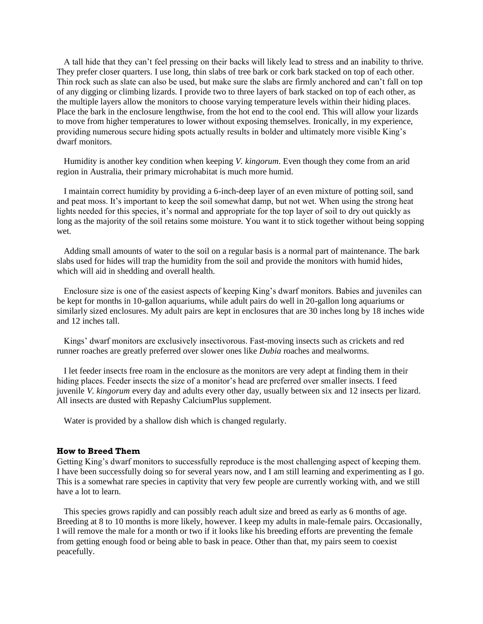A tall hide that they can't feel pressing on their backs will likely lead to stress and an inability to thrive. They prefer closer quarters. I use long, thin slabs of tree bark or cork bark stacked on top of each other. Thin rock such as slate can also be used, but make sure the slabs are firmly anchored and can't fall on top of any digging or climbing lizards. I provide two to three layers of bark stacked on top of each other, as the multiple layers allow the monitors to choose varying temperature levels within their hiding places. Place the bark in the enclosure lengthwise, from the hot end to the cool end. This will allow your lizards to move from higher temperatures to lower without exposing themselves. Ironically, in my experience, providing numerous secure hiding spots actually results in bolder and ultimately more visible King's dwarf monitors.

Humidity is another key condition when keeping *V. kingorum*. Even though they come from an arid region in Australia, their primary microhabitat is much more humid.

I maintain correct humidity by providing a 6-inch-deep layer of an even mixture of potting soil, sand and peat moss. It's important to keep the soil somewhat damp, but not wet. When using the strong heat lights needed for this species, it's normal and appropriate for the top layer of soil to dry out quickly as long as the majority of the soil retains some moisture. You want it to stick together without being sopping wet.

Adding small amounts of water to the soil on a regular basis is a normal part of maintenance. The bark slabs used for hides will trap the humidity from the soil and provide the monitors with humid hides, which will aid in shedding and overall health.

Enclosure size is one of the easiest aspects of keeping King's dwarf monitors. Babies and juveniles can be kept for months in 10-gallon aquariums, while adult pairs do well in 20-gallon long aquariums or similarly sized enclosures. My adult pairs are kept in enclosures that are 30 inches long by 18 inches wide and 12 inches tall.

Kings' dwarf monitors are exclusively insectivorous. Fast-moving insects such as crickets and red runner roaches are greatly preferred over slower ones like *Dubia* roaches and mealworms.

I let feeder insects free roam in the enclosure as the monitors are very adept at finding them in their hiding places. Feeder insects the size of a monitor's head are preferred over smaller insects. I feed juvenile *V. kingorum* every day and adults every other day, usually between six and 12 insects per lizard. All insects are dusted with Repashy CalciumPlus supplement.

Water is provided by a shallow dish which is changed regularly.

### **How to Breed Them**

Getting King's dwarf monitors to successfully reproduce is the most challenging aspect of keeping them. I have been successfully doing so for several years now, and I am still learning and experimenting as I go. This is a somewhat rare species in captivity that very few people are currently working with, and we still have a lot to learn.

This species grows rapidly and can possibly reach adult size and breed as early as 6 months of age. Breeding at 8 to 10 months is more likely, however. I keep my adults in male-female pairs. Occasionally, I will remove the male for a month or two if it looks like his breeding efforts are preventing the female from getting enough food or being able to bask in peace. Other than that, my pairs seem to coexist peacefully.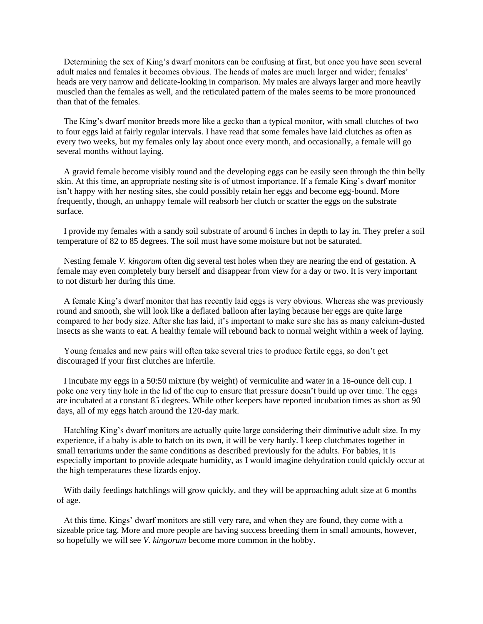Determining the sex of King's dwarf monitors can be confusing at first, but once you have seen several adult males and females it becomes obvious. The heads of males are much larger and wider; females' heads are very narrow and delicate-looking in comparison. My males are always larger and more heavily muscled than the females as well, and the reticulated pattern of the males seems to be more pronounced than that of the females.

The King's dwarf monitor breeds more like a gecko than a typical monitor, with small clutches of two to four eggs laid at fairly regular intervals. I have read that some females have laid clutches as often as every two weeks, but my females only lay about once every month, and occasionally, a female will go several months without laying.

A gravid female become visibly round and the developing eggs can be easily seen through the thin belly skin. At this time, an appropriate nesting site is of utmost importance. If a female King's dwarf monitor isn't happy with her nesting sites, she could possibly retain her eggs and become egg-bound. More frequently, though, an unhappy female will reabsorb her clutch or scatter the eggs on the substrate surface.

I provide my females with a sandy soil substrate of around 6 inches in depth to lay in. They prefer a soil temperature of 82 to 85 degrees. The soil must have some moisture but not be saturated.

Nesting female *V. kingorum* often dig several test holes when they are nearing the end of gestation. A female may even completely bury herself and disappear from view for a day or two. It is very important to not disturb her during this time.

A female King's dwarf monitor that has recently laid eggs is very obvious. Whereas she was previously round and smooth, she will look like a deflated balloon after laying because her eggs are quite large compared to her body size. After she has laid, it's important to make sure she has as many calcium-dusted insects as she wants to eat. A healthy female will rebound back to normal weight within a week of laying.

Young females and new pairs will often take several tries to produce fertile eggs, so don't get discouraged if your first clutches are infertile.

I incubate my eggs in a 50:50 mixture (by weight) of vermiculite and water in a 16-ounce deli cup. I poke one very tiny hole in the lid of the cup to ensure that pressure doesn't build up over time. The eggs are incubated at a constant 85 degrees. While other keepers have reported incubation times as short as 90 days, all of my eggs hatch around the 120-day mark.

Hatchling King's dwarf monitors are actually quite large considering their diminutive adult size. In my experience, if a baby is able to hatch on its own, it will be very hardy. I keep clutchmates together in small terrariums under the same conditions as described previously for the adults. For babies, it is especially important to provide adequate humidity, as I would imagine dehydration could quickly occur at the high temperatures these lizards enjoy.

With daily feedings hatchlings will grow quickly, and they will be approaching adult size at 6 months of age.

At this time, Kings' dwarf monitors are still very rare, and when they are found, they come with a sizeable price tag. More and more people are having success breeding them in small amounts, however, so hopefully we will see *V. kingorum* become more common in the hobby.